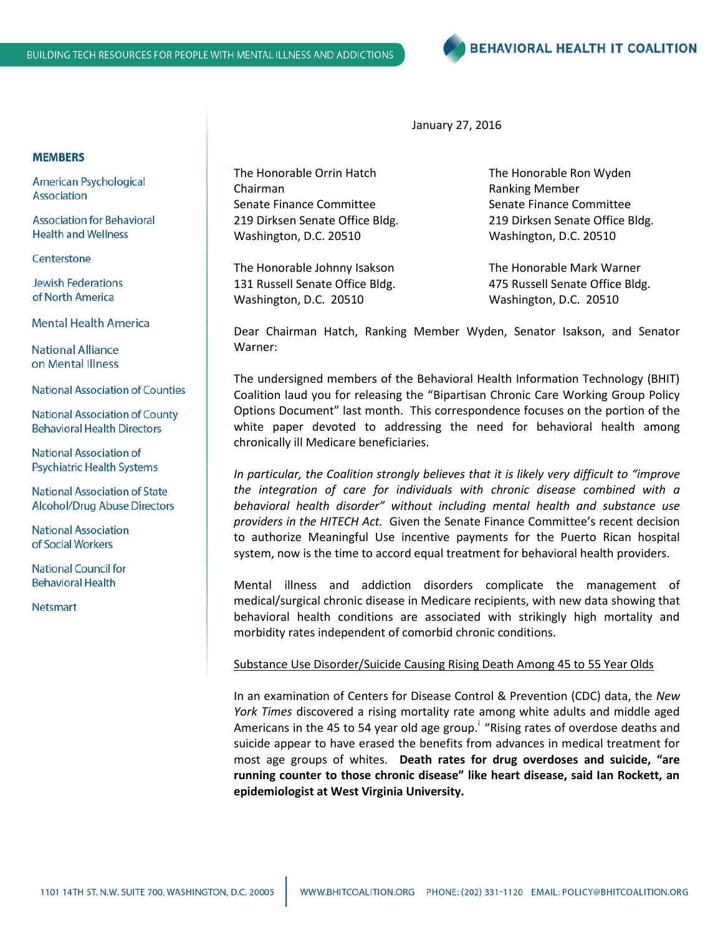**BEHAVIORAL HEALTH IT COALITION** 

January 27, 2016

The Honorable Orrin Hatch The Honorable Ron Wyden Chairman **Chairman Ranking Member** Senate Finance Committee Senate Finance Committee 219 Dirksen Senate Office Bldg. 219 Dirksen Senate Office Bldg. Washington, D.C. 20510 Washington, D.C. 20510

The Honorable Johnny Isakson The Honorable Mark Warner 131 Russell Senate Office Bldg. 475 Russell Senate Office Bldg. Washington, D.C. 20510 Washington, D.C. 20510

Dear Chairman Hatch, Ranking Member Wyden, Senator Isakson, and Senator Warner:

The undersigned members of the Behavioral Health Information Technology (BHIT) Coalition laud you for releasing the "Bipartisan Chronic Care Working Group Policy Options Document" last month. This correspondence focuses on the portion of the white paper devoted to addressing the need for behavioral health among chronically ill Medicare beneficiaries.

*In particular, the Coalition strongly believes that it is likely very difficult to "improve the integration of care for individuals with chronic disease combined with a behavioral health disorder" without including mental health and substance use providers in the HITECH Act.* Given the Senate Finance Committee's recent decision to authorize Meaningful Use incentive payments for the Puerto Rican hospital system, now is the time to accord equal treatment for behavioral health providers.

Mental illness and addiction disorders complicate the management of medical/surgical chronic disease in Medicare recipients, with new data showing that behavioral health conditions are associated with strikingly high mortality and morbidity rates independent of comorbid chronic conditions.

## Substance Use Disorder/Suicide Causing Rising Death Among 45 to 55 Year Olds

In an examination of Centers for Disease Control & Prevention (CDC) data, the *New York Times* discovered a rising mortality rate among white adults and middle aged Americans in the 45 to 54 year old age group.<sup>i</sup> "Rising rates of overdose deaths and suicide appear to have erased the benefits from advances in medical treatment for most age groups of whites. **Death rates for drug overdoses and suicide, "are running counter to those chronic disease" like heart disease, said Ian Rockett, an epidemiologist at West Virginia University.**

## **MEMBERS**

American Psychological Association

**Association for Behavioral Health and Wellness** 

Centerstone

**Jewish Federations** of North America

**Mental Health America** 

**National Alliance** on Mental Illness

**National Association of Counties** 

**National Association of County Behavioral Health Directors** 

National Association of **Psychiatric Health Systems** 

**National Association of State Alcohol/Drug Abuse Directors** 

**National Association** of Social Workers

**National Council for Behavioral Health** 

**Netsmart**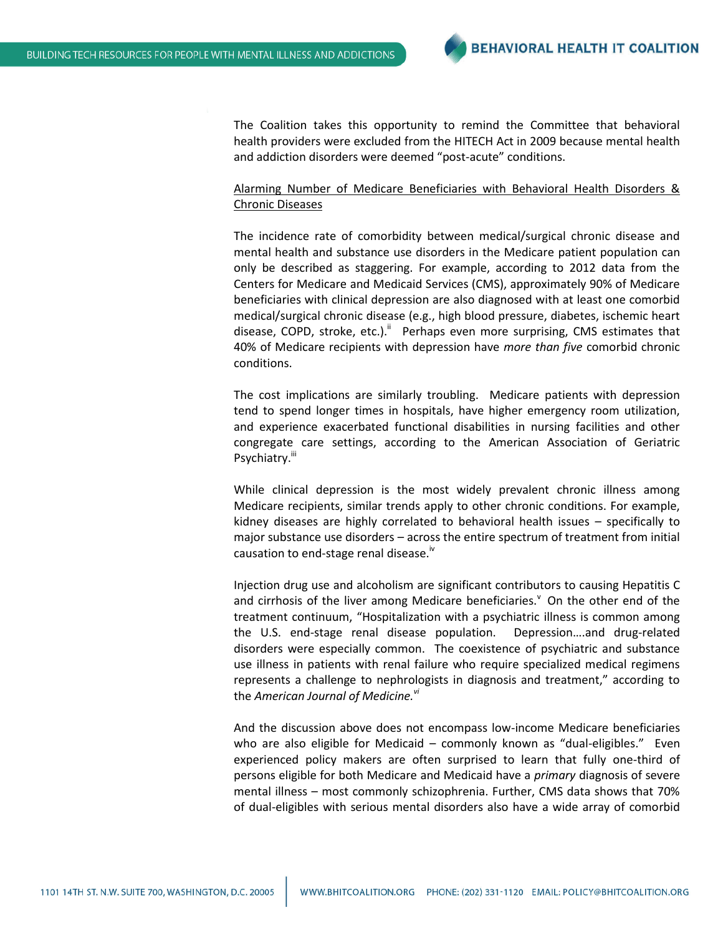The Coalition takes this opportunity to remind the Committee that behavioral health providers were excluded from the HITECH Act in 2009 because mental health and addiction disorders were deemed "post-acute" conditions.

## Alarming Number of Medicare Beneficiaries with Behavioral Health Disorders & Chronic Diseases

The incidence rate of comorbidity between medical/surgical chronic disease and mental health and substance use disorders in the Medicare patient population can only be described as staggering. For example, according to 2012 data from the Centers for Medicare and Medicaid Services (CMS), approximately 90% of Medicare beneficiaries with clinical depression are also diagnosed with at least one comorbid medical/surgical chronic disease (e.g., high blood pressure, diabetes, ischemic heart disease, COPD, stroke, etc.).<sup>ii</sup> Perhaps even more surprising, CMS estimates that 40% of Medicare recipients with depression have *more than five* comorbid chronic conditions.

The cost implications are similarly troubling. Medicare patients with depression tend to spend longer times in hospitals, have higher emergency room utilization, and experience exacerbated functional disabilities in nursing facilities and other congregate care settings, according to the American Association of Geriatric Psychiatry.<sup>iii</sup>

While clinical depression is the most widely prevalent chronic illness among Medicare recipients, similar trends apply to other chronic conditions. For example, kidney diseases are highly correlated to behavioral health issues – specifically to major substance use disorders – across the entire spectrum of treatment from initial causation to end-stage renal disease.<sup>iv</sup>

Injection drug use and alcoholism are significant contributors to causing Hepatitis C and cirrhosis of the liver among Medicare beneficiaries.<sup> $\vee$ </sup> On the other end of the treatment continuum, "Hospitalization with a psychiatric illness is common among the U.S. end-stage renal disease population. Depression….and drug-related disorders were especially common. The coexistence of psychiatric and substance use illness in patients with renal failure who require specialized medical regimens represents a challenge to nephrologists in diagnosis and treatment," according to the *American Journal of Medicine.vi*

And the discussion above does not encompass low-income Medicare beneficiaries who are also eligible for Medicaid – commonly known as "dual-eligibles." Even experienced policy makers are often surprised to learn that fully one-third of persons eligible for both Medicare and Medicaid have a *primary* diagnosis of severe mental illness – most commonly schizophrenia. Further, CMS data shows that 70% of dual-eligibles with serious mental disorders also have a wide array of comorbid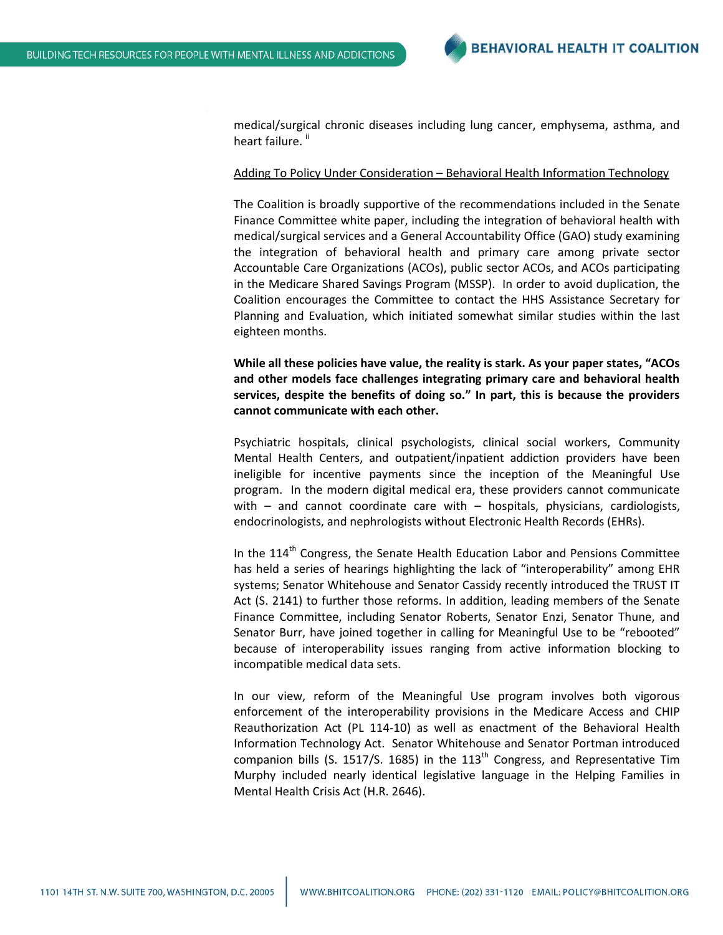medical/surgical chronic diseases including lung cancer, emphysema, asthma, and heart failure.<sup>ii</sup>

## Adding To Policy Under Consideration – Behavioral Health Information Technology

The Coalition is broadly supportive of the recommendations included in the Senate Finance Committee white paper, including the integration of behavioral health with medical/surgical services and a General Accountability Office (GAO) study examining the integration of behavioral health and primary care among private sector Accountable Care Organizations (ACOs), public sector ACOs, and ACOs participating in the Medicare Shared Savings Program (MSSP). In order to avoid duplication, the Coalition encourages the Committee to contact the HHS Assistance Secretary for Planning and Evaluation, which initiated somewhat similar studies within the last eighteen months.

**While all these policies have value, the reality is stark. As your paper states, "ACOs and other models face challenges integrating primary care and behavioral health services, despite the benefits of doing so." In part, this is because the providers cannot communicate with each other.**

Psychiatric hospitals, clinical psychologists, clinical social workers, Community Mental Health Centers, and outpatient/inpatient addiction providers have been ineligible for incentive payments since the inception of the Meaningful Use program. In the modern digital medical era, these providers cannot communicate with – and cannot coordinate care with – hospitals, physicians, cardiologists, endocrinologists, and nephrologists without Electronic Health Records (EHRs).

In the  $114<sup>th</sup>$  Congress, the Senate Health Education Labor and Pensions Committee has held a series of hearings highlighting the lack of "interoperability" among EHR systems; Senator Whitehouse and Senator Cassidy recently introduced the TRUST IT Act (S. 2141) to further those reforms. In addition, leading members of the Senate Finance Committee, including Senator Roberts, Senator Enzi, Senator Thune, and Senator Burr, have joined together in calling for Meaningful Use to be "rebooted" because of interoperability issues ranging from active information blocking to incompatible medical data sets.

In our view, reform of the Meaningful Use program involves both vigorous enforcement of the interoperability provisions in the Medicare Access and CHIP Reauthorization Act (PL 114-10) as well as enactment of the Behavioral Health Information Technology Act. Senator Whitehouse and Senator Portman introduced companion bills (S. 1517/S. 1685) in the  $113<sup>th</sup>$  Congress, and Representative Tim Murphy included nearly identical legislative language in the Helping Families in Mental Health Crisis Act (H.R. 2646).